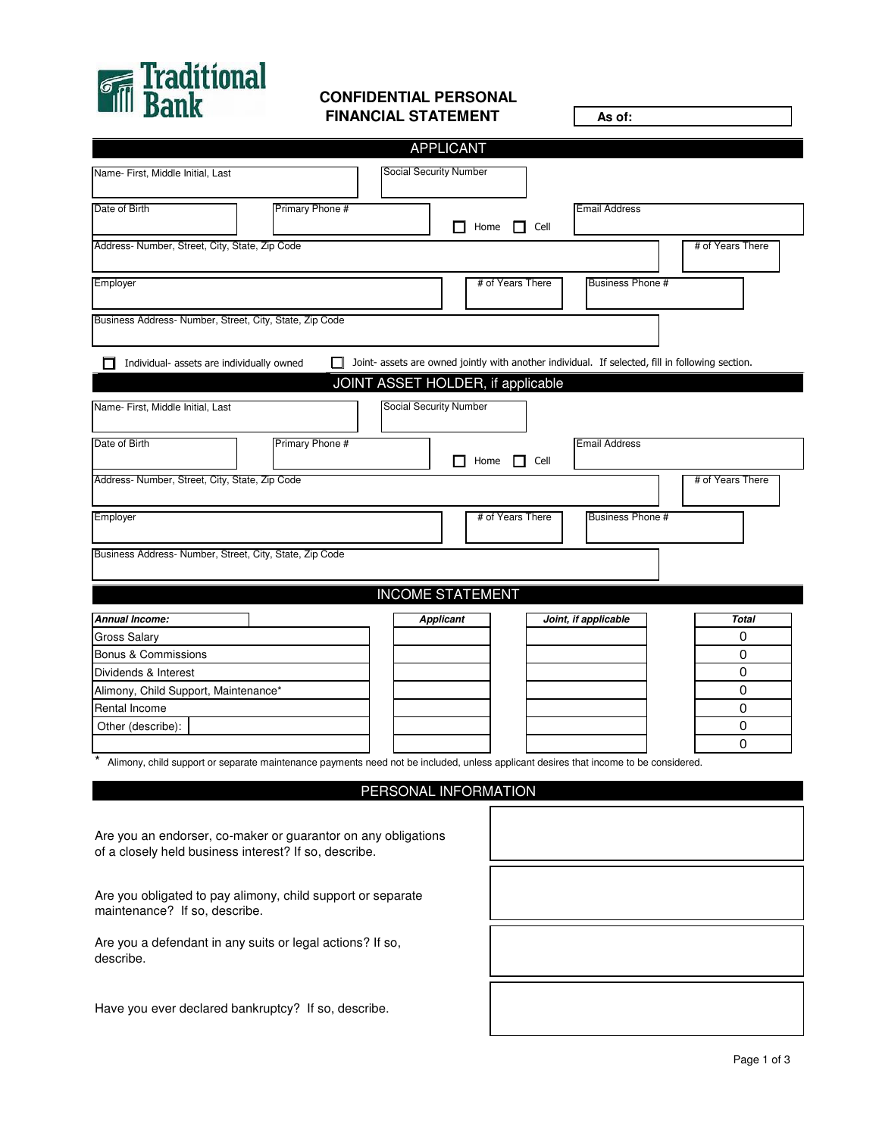

## **CONFIDENTIAL PERSONAL FINANCIAL STATEMENT**

 $\Gamma$ 

| <u>muu Dalla</u>                                                                                                                               | <b>FINANCIAL STATEMENT</b>    |                                   | As of:                                                                                           |                  |
|------------------------------------------------------------------------------------------------------------------------------------------------|-------------------------------|-----------------------------------|--------------------------------------------------------------------------------------------------|------------------|
|                                                                                                                                                |                               | <b>APPLICANT</b>                  |                                                                                                  |                  |
| Name- First, Middle Initial, Last                                                                                                              | Social Security Number        |                                   |                                                                                                  |                  |
| Primary Phone #<br>Date of Birth                                                                                                               |                               | П<br>Home $\Box$ Cell             | <b>Email Address</b>                                                                             |                  |
| Address- Number, Street, City, State, Zip Code                                                                                                 |                               |                                   |                                                                                                  | # of Years There |
| Employer                                                                                                                                       |                               | # of Years There                  | Business Phone #                                                                                 |                  |
| Business Address-Number, Street, City, State, Zip Code                                                                                         |                               |                                   |                                                                                                  |                  |
| Individual- assets are individually owned                                                                                                      |                               |                                   | Joint- assets are owned jointly with another individual. If selected, fill in following section. |                  |
|                                                                                                                                                |                               | JOINT ASSET HOLDER, if applicable |                                                                                                  |                  |
| Name- First, Middle Initial, Last                                                                                                              | <b>Social Security Number</b> |                                   |                                                                                                  |                  |
| Primary Phone #<br>Date of Birth                                                                                                               |                               | П<br>Home $\Box$ Cell             | <b>Email Address</b>                                                                             |                  |
| Address- Number, Street, City, State, Zip Code                                                                                                 |                               |                                   |                                                                                                  | # of Years There |
| Employer                                                                                                                                       |                               | # of Years There                  | <b>Business Phone #</b>                                                                          |                  |
| Business Address- Number, Street, City, State, Zip Code                                                                                        |                               |                                   |                                                                                                  |                  |
|                                                                                                                                                |                               |                                   |                                                                                                  |                  |
|                                                                                                                                                |                               | <b>INCOME STATEMENT</b>           |                                                                                                  |                  |
| Annual Income:                                                                                                                                 |                               | <b>Applicant</b>                  | Joint, if applicable                                                                             | Total            |
| <b>Gross Salary</b>                                                                                                                            |                               |                                   |                                                                                                  | 0                |
| Bonus & Commissions                                                                                                                            |                               |                                   |                                                                                                  | 0                |
| Dividends & Interest                                                                                                                           |                               |                                   |                                                                                                  | 0                |
| Alimony, Child Support, Maintenance*                                                                                                           |                               |                                   |                                                                                                  | 0                |
| Rental Income                                                                                                                                  |                               |                                   |                                                                                                  | 0                |
| Other (describe):                                                                                                                              |                               |                                   |                                                                                                  | 0<br>0           |
| $\ast$<br>Alimony, child support or separate maintenance payments need not be included, unless applicant desires that income to be considered. |                               |                                   |                                                                                                  |                  |
|                                                                                                                                                |                               | PERSONAL INFORMATION              |                                                                                                  |                  |
| Are you an endorser, co-maker or guarantor on any obligations                                                                                  |                               |                                   |                                                                                                  |                  |
| of a closely held business interest? If so, describe.                                                                                          |                               |                                   |                                                                                                  |                  |
| Are you obligated to pay alimony, child support or separate<br>maintenance? If so, describe.                                                   |                               |                                   |                                                                                                  |                  |
| Are you a defendant in any suits or legal actions? If so,<br>describe.                                                                         |                               |                                   |                                                                                                  |                  |
| Have you ever declared bankruptcy? If so, describe.                                                                                            |                               |                                   |                                                                                                  |                  |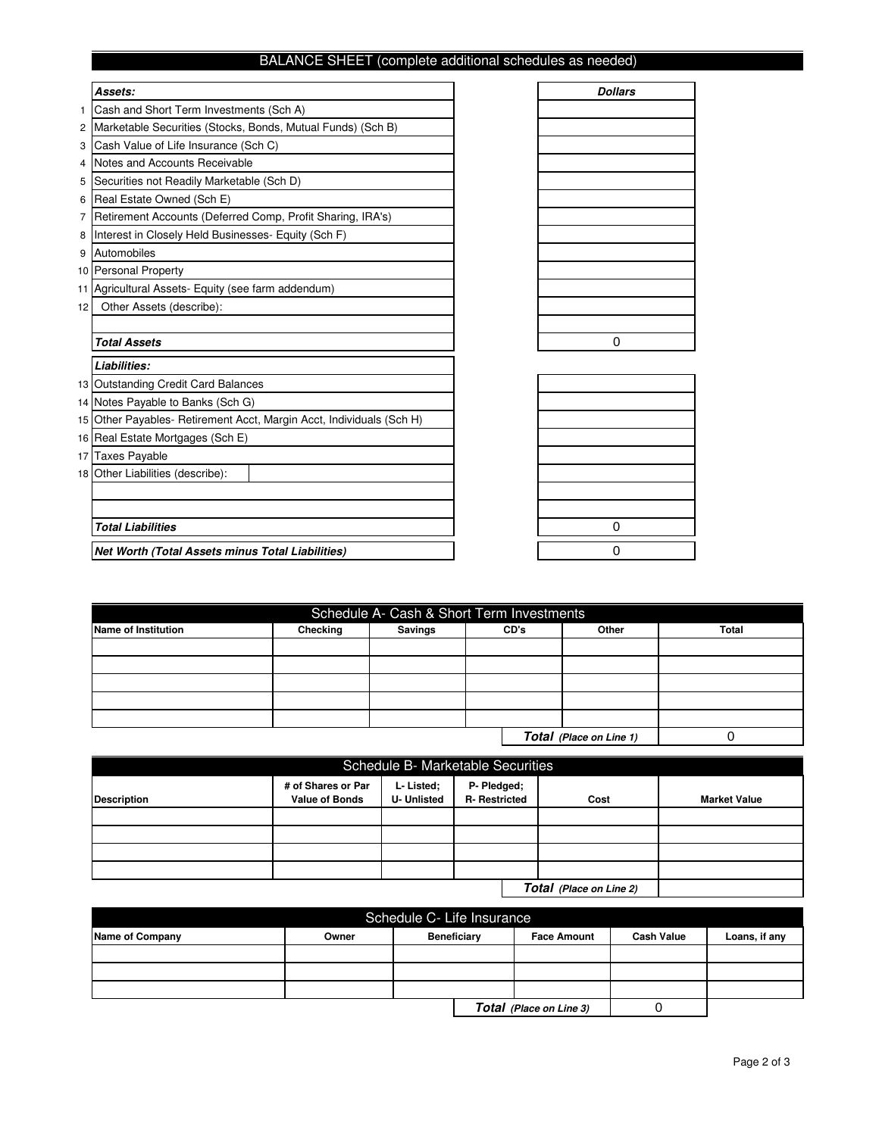## BALANCE SHEET (complete additional schedules as needed)

|    | Assets:                                                              | <b>Dollars</b> |
|----|----------------------------------------------------------------------|----------------|
| 1. | Cash and Short Term Investments (Sch A)                              |                |
| 2  | Marketable Securities (Stocks, Bonds, Mutual Funds) (Sch B)          |                |
| 3  | Cash Value of Life Insurance (Sch C)                                 |                |
| 4  | Notes and Accounts Receivable                                        |                |
| 5  | Securities not Readily Marketable (Sch D)                            |                |
| 6  | Real Estate Owned (Sch E)                                            |                |
| 7  | Retirement Accounts (Deferred Comp, Profit Sharing, IRA's)           |                |
| 8  | Interest in Closely Held Businesses- Equity (Sch F)                  |                |
| 9  | Automobiles                                                          |                |
|    | 10 Personal Property                                                 |                |
| 11 | Agricultural Assets- Equity (see farm addendum)                      |                |
| 12 | Other Assets (describe):                                             |                |
|    |                                                                      |                |
|    | <b>Total Assets</b>                                                  | $\Omega$       |
|    | Liabilities:                                                         |                |
|    | 13 Outstanding Credit Card Balances                                  |                |
|    | 14 Notes Payable to Banks (Sch G)                                    |                |
|    | 15 Other Payables- Retirement Acct, Margin Acct, Individuals (Sch H) |                |
|    | 16 Real Estate Mortgages (Sch E)                                     |                |
| 17 | <b>Taxes Payable</b>                                                 |                |
|    | 18 Other Liabilities (describe):                                     |                |
|    |                                                                      |                |
|    |                                                                      |                |
|    | <b>Total Liabilities</b>                                             | 0              |
|    | Net Worth (Total Assets minus Total Liabilities)                     | 0              |

| Schedule A- Cash & Short Term Investments |                                      |  |  |  |  |  |  |  |  |
|-------------------------------------------|--------------------------------------|--|--|--|--|--|--|--|--|
| Name of Institution                       | Checking<br>Savings<br>Other<br>CD's |  |  |  |  |  |  |  |  |
|                                           |                                      |  |  |  |  |  |  |  |  |
|                                           |                                      |  |  |  |  |  |  |  |  |
|                                           |                                      |  |  |  |  |  |  |  |  |
|                                           |                                      |  |  |  |  |  |  |  |  |
|                                           |                                      |  |  |  |  |  |  |  |  |
| Total (Place on Line 1)                   |                                      |  |  |  |  |  |  |  |  |

| <b>Schedule B- Marketable Securities</b> |                                             |                                 |                                    |      |                     |  |
|------------------------------------------|---------------------------------------------|---------------------------------|------------------------------------|------|---------------------|--|
| <b>Description</b>                       | # of Shares or Par<br><b>Value of Bonds</b> | L-Listed;<br><b>U- Unlisted</b> | P- Pledged;<br><b>R-Restricted</b> | Cost | <b>Market Value</b> |  |
|                                          |                                             |                                 |                                    |      |                     |  |
|                                          |                                             |                                 |                                    |      |                     |  |
|                                          |                                             |                                 |                                    |      |                     |  |
|                                          |                                             |                                 |                                    |      |                     |  |
|                                          |                                             |                                 |                                    |      |                     |  |

| Schedule C- Life Insurance |       |                    |                   |                         |  |  |  |
|----------------------------|-------|--------------------|-------------------|-------------------------|--|--|--|
| Name of Company            | Owner | <b>Beneficiary</b> | <b>Cash Value</b> | Loans, if any           |  |  |  |
|                            |       |                    |                   |                         |  |  |  |
|                            |       |                    |                   |                         |  |  |  |
|                            |       |                    |                   |                         |  |  |  |
|                            |       |                    |                   | Total (Place on Line 3) |  |  |  |